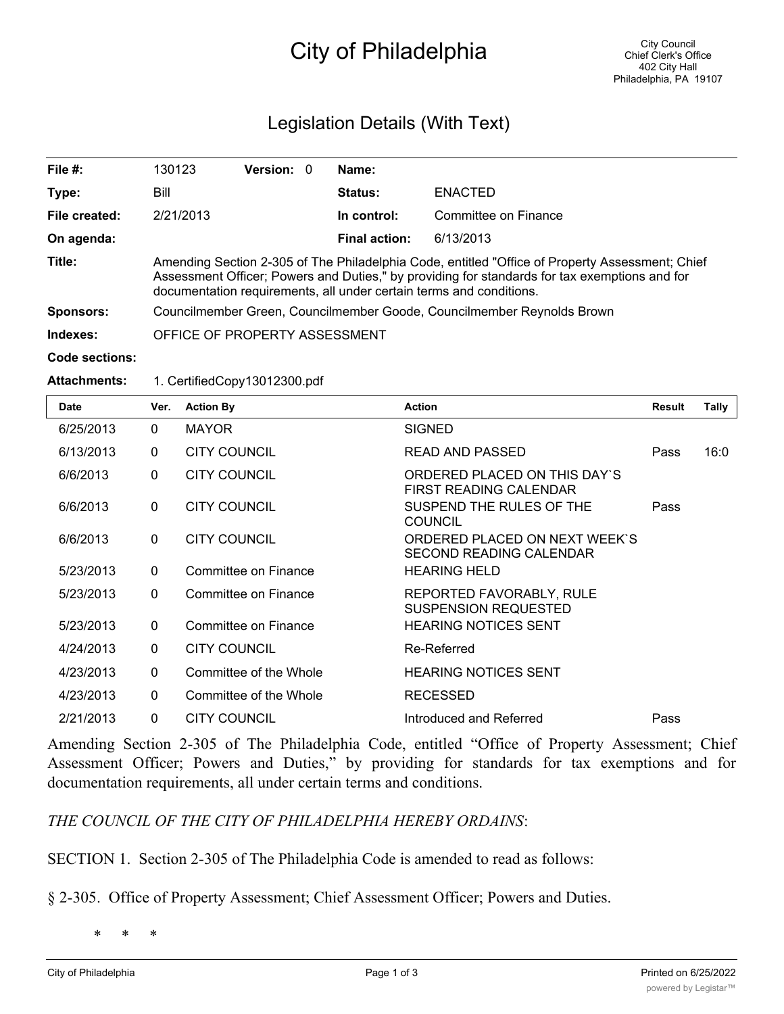## City of Philadelphia

## Legislation Details (With Text)

| File $#$ :       | 130123                                                                                                                                                                                                                                                                  | <b>Version: 0</b> |  | Name:                |                      |  |  |
|------------------|-------------------------------------------------------------------------------------------------------------------------------------------------------------------------------------------------------------------------------------------------------------------------|-------------------|--|----------------------|----------------------|--|--|
| Type:            | Bill                                                                                                                                                                                                                                                                    |                   |  | Status:              | <b>ENACTED</b>       |  |  |
| File created:    | 2/21/2013                                                                                                                                                                                                                                                               |                   |  | In control:          | Committee on Finance |  |  |
| On agenda:       |                                                                                                                                                                                                                                                                         |                   |  | <b>Final action:</b> | 6/13/2013            |  |  |
| Title:           | Amending Section 2-305 of The Philadelphia Code, entitled "Office of Property Assessment; Chief<br>Assessment Officer; Powers and Duties," by providing for standards for tax exemptions and for<br>documentation requirements, all under certain terms and conditions. |                   |  |                      |                      |  |  |
| <b>Sponsors:</b> | Councilmember Green, Councilmember Goode, Councilmember Reynolds Brown                                                                                                                                                                                                  |                   |  |                      |                      |  |  |
| Indexes:         | OFFICE OF PROPERTY ASSESSMENT                                                                                                                                                                                                                                           |                   |  |                      |                      |  |  |
| Code sections:   |                                                                                                                                                                                                                                                                         |                   |  |                      |                      |  |  |

## **Attachments:** 1. CertifiedCopy13012300.pdf

| Date      | Ver.         | <b>Action By</b>       | <b>Action</b>                                                   | Result | Tally |
|-----------|--------------|------------------------|-----------------------------------------------------------------|--------|-------|
| 6/25/2013 | $\Omega$     | <b>MAYOR</b>           | <b>SIGNED</b>                                                   |        |       |
| 6/13/2013 | $\Omega$     | <b>CITY COUNCIL</b>    | <b>READ AND PASSED</b>                                          | Pass   | 16:0  |
| 6/6/2013  | $\mathbf{0}$ | <b>CITY COUNCIL</b>    | ORDERED PLACED ON THIS DAY'S<br><b>FIRST READING CALENDAR</b>   |        |       |
| 6/6/2013  | $\mathbf{0}$ | <b>CITY COUNCIL</b>    | SUSPEND THE RULES OF THE<br><b>COUNCIL</b>                      | Pass   |       |
| 6/6/2013  | $\Omega$     | <b>CITY COUNCIL</b>    | ORDERED PLACED ON NEXT WEEK'S<br><b>SECOND READING CALENDAR</b> |        |       |
| 5/23/2013 | $\Omega$     | Committee on Finance   | <b>HEARING HELD</b>                                             |        |       |
| 5/23/2013 | $\Omega$     | Committee on Finance   | REPORTED FAVORABLY, RULE<br><b>SUSPENSION REQUESTED</b>         |        |       |
| 5/23/2013 | $\mathbf{0}$ | Committee on Finance   | <b>HEARING NOTICES SENT</b>                                     |        |       |
| 4/24/2013 | $\mathbf 0$  | <b>CITY COUNCIL</b>    | Re-Referred                                                     |        |       |
| 4/23/2013 | $\Omega$     | Committee of the Whole | <b>HEARING NOTICES SENT</b>                                     |        |       |
| 4/23/2013 | $\Omega$     | Committee of the Whole | <b>RECESSED</b>                                                 |        |       |
| 2/21/2013 | $\mathbf{0}$ | <b>CITY COUNCIL</b>    | Introduced and Referred                                         | Pass   |       |

Amending Section 2-305 of The Philadelphia Code, entitled "Office of Property Assessment; Chief Assessment Officer; Powers and Duties," by providing for standards for tax exemptions and for documentation requirements, all under certain terms and conditions.

*THE COUNCIL OF THE CITY OF PHILADELPHIA HEREBY ORDAINS*:

SECTION 1. Section 2-305 of The Philadelphia Code is amended to read as follows:

§ 2-305. Office of Property Assessment; Chief Assessment Officer; Powers and Duties.

\* \* \*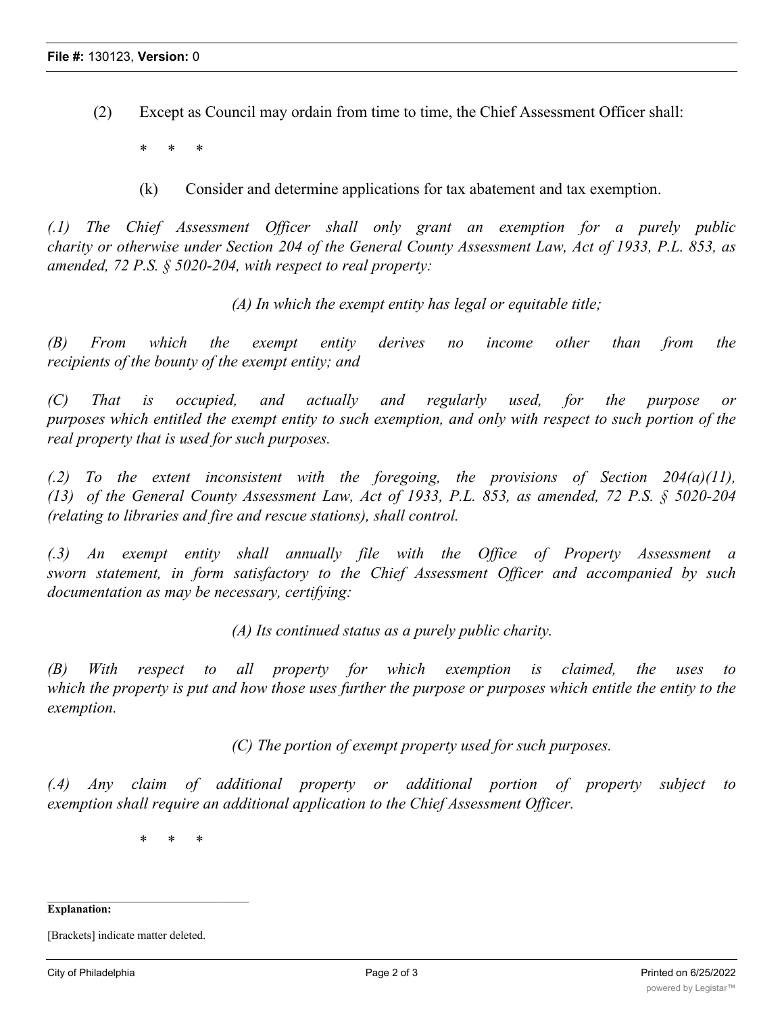(2) Except as Council may ordain from time to time, the Chief Assessment Officer shall:

\* \* \*

(k) Consider and determine applications for tax abatement and tax exemption.

*(.1) The Chief Assessment Officer shall only grant an exemption for a purely public* charity or otherwise under Section 204 of the General County Assessment Law, Act of 1933, P.L. 853, as *amended, 72 P.S. § 5020-204, with respect to real property:*

*(A) In which the exempt entity has legal or equitable title;*

*(B) From which the exempt entity derives no income other than from the recipients of the bounty of the exempt entity; and*

*(C) That is occupied, and actually and regularly used, for the purpose or* purposes which entitled the exempt entity to such exemption, and only with respect to such portion of the *real property that is used for such purposes.*

*(.2) To the extent inconsistent with the foregoing, the provisions of Section 204(a)(11), (13) of the General County Assessment Law, Act of 1933, P.L. 853, as amended, 72 P.S. § 5020-204 (relating to libraries and fire and rescue stations), shall control.*

*(.3) An exempt entity shall annually file with the Office of Property Assessment a sworn statement, in form satisfactory to the Chief Assessment Officer and accompanied by such documentation as may be necessary, certifying:*

*(A) Its continued status as a purely public charity.*

*(B) With respect to all property for which exemption is claimed, the uses to* which the property is put and how those uses further the purpose or purposes which entitle the entity to the *exemption.*

*(C) The portion of exempt property used for such purposes.*

*(.4) Any claim of additional property or additional portion of property subject to exemption shall require an additional application to the Chief Assessment Officer.*

\* \* \*

**Explanation:**

<sup>[</sup>Brackets] indicate matter deleted.